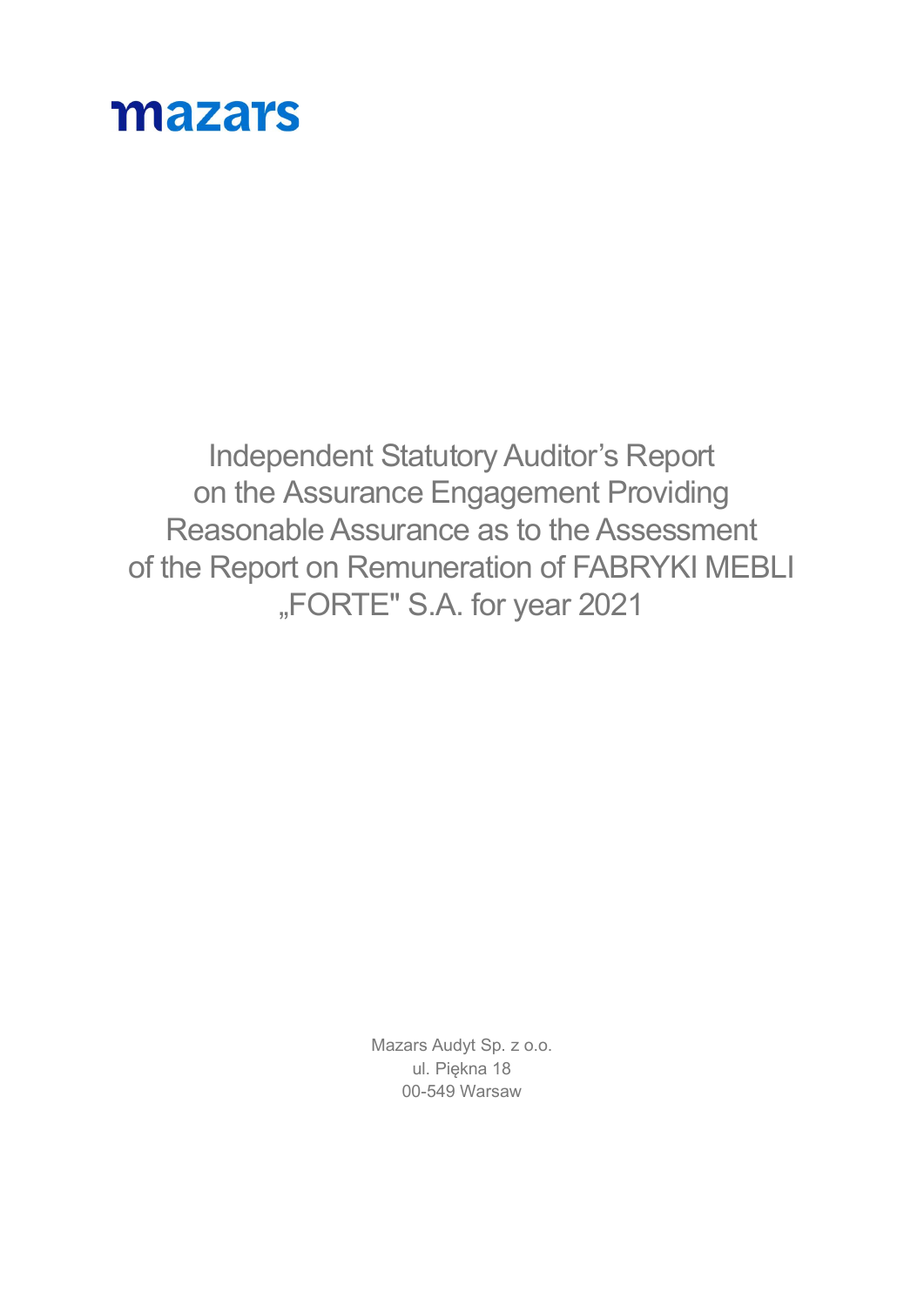# mazars

Independent Statutory Auditor's Report on the Assurance Engagement Providing Reasonable Assurance as to the Assessment of the Report on Remuneration of FABRYKI MEBLI "FORTE" S.A. for year 2021

> Mazars Audyt Sp. z o.o. ul. Piękna 18 00-549 Warsaw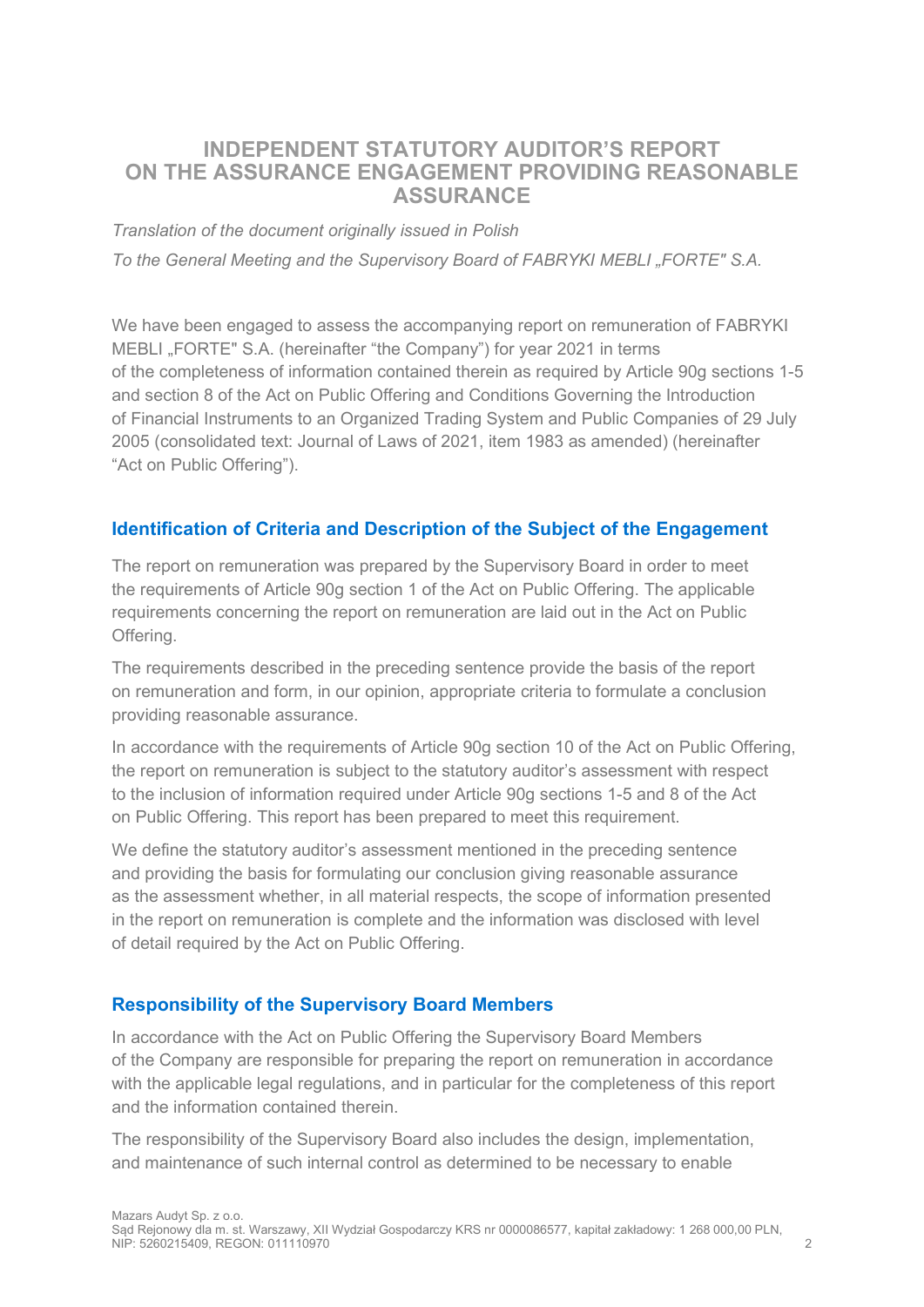## INDEPENDENT STATUTORY AUDITOR'S REPORT ON THE ASSURANCE ENGAGEMENT PROVIDING REASONABLE ASSURANCE

Translation of the document originally issued in Polish

To the General Meeting and the Supervisory Board of FABRYKI MEBLI "FORTE" S.A.

We have been engaged to assess the accompanying report on remuneration of FABRYKI MEBLI "FORTE" S.A. (hereinafter "the Company") for year 2021 in terms of the completeness of information contained therein as required by Article 90g sections 1-5 and section 8 of the Act on Public Offering and Conditions Governing the Introduction of Financial Instruments to an Organized Trading System and Public Companies of 29 July 2005 (consolidated text: Journal of Laws of 2021, item 1983 as amended) (hereinafter "Act on Public Offering").

#### Identification of Criteria and Description of the Subject of the Engagement

The report on remuneration was prepared by the Supervisory Board in order to meet the requirements of Article 90g section 1 of the Act on Public Offering. The applicable requirements concerning the report on remuneration are laid out in the Act on Public Offering.

The requirements described in the preceding sentence provide the basis of the report on remuneration and form, in our opinion, appropriate criteria to formulate a conclusion providing reasonable assurance.

In accordance with the requirements of Article 90g section 10 of the Act on Public Offering, the report on remuneration is subject to the statutory auditor's assessment with respect to the inclusion of information required under Article 90g sections 1-5 and 8 of the Act on Public Offering. This report has been prepared to meet this requirement.

We define the statutory auditor's assessment mentioned in the preceding sentence and providing the basis for formulating our conclusion giving reasonable assurance as the assessment whether, in all material respects, the scope of information presented in the report on remuneration is complete and the information was disclosed with level of detail required by the Act on Public Offering.

#### Responsibility of the Supervisory Board Members

In accordance with the Act on Public Offering the Supervisory Board Members of the Company are responsible for preparing the report on remuneration in accordance with the applicable legal regulations, and in particular for the completeness of this report and the information contained therein.

The responsibility of the Supervisory Board also includes the design, implementation, and maintenance of such internal control as determined to be necessary to enable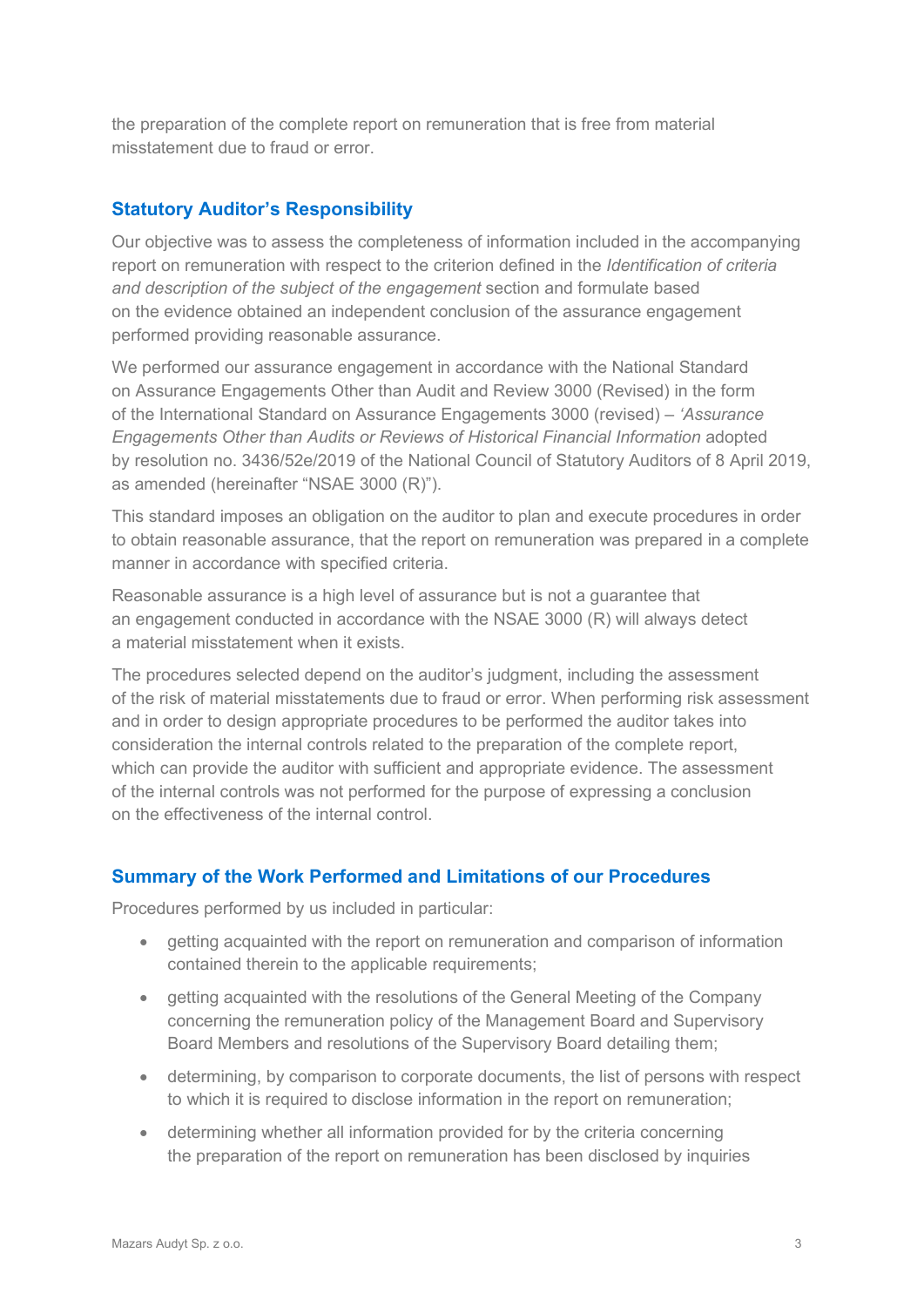the preparation of the complete report on remuneration that is free from material misstatement due to fraud or error.

### Statutory Auditor's Responsibility

Our objective was to assess the completeness of information included in the accompanying report on remuneration with respect to the criterion defined in the Identification of criteria and description of the subject of the engagement section and formulate based on the evidence obtained an independent conclusion of the assurance engagement performed providing reasonable assurance.

We performed our assurance engagement in accordance with the National Standard on Assurance Engagements Other than Audit and Review 3000 (Revised) in the form of the International Standard on Assurance Engagements 3000 (revised) – 'Assurance Engagements Other than Audits or Reviews of Historical Financial Information adopted by resolution no. 3436/52e/2019 of the National Council of Statutory Auditors of 8 April 2019, as amended (hereinafter "NSAE 3000 (R)").

This standard imposes an obligation on the auditor to plan and execute procedures in order to obtain reasonable assurance, that the report on remuneration was prepared in a complete manner in accordance with specified criteria.

Reasonable assurance is a high level of assurance but is not a guarantee that an engagement conducted in accordance with the NSAE 3000 (R) will always detect a material misstatement when it exists.

The procedures selected depend on the auditor's judgment, including the assessment of the risk of material misstatements due to fraud or error. When performing risk assessment and in order to design appropriate procedures to be performed the auditor takes into consideration the internal controls related to the preparation of the complete report, which can provide the auditor with sufficient and appropriate evidence. The assessment of the internal controls was not performed for the purpose of expressing a conclusion on the effectiveness of the internal control.

#### Summary of the Work Performed and Limitations of our Procedures

Procedures performed by us included in particular:

- getting acquainted with the report on remuneration and comparison of information contained therein to the applicable requirements;
- getting acquainted with the resolutions of the General Meeting of the Company concerning the remuneration policy of the Management Board and Supervisory Board Members and resolutions of the Supervisory Board detailing them;
- determining, by comparison to corporate documents, the list of persons with respect to which it is required to disclose information in the report on remuneration;
- determining whether all information provided for by the criteria concerning the preparation of the report on remuneration has been disclosed by inquiries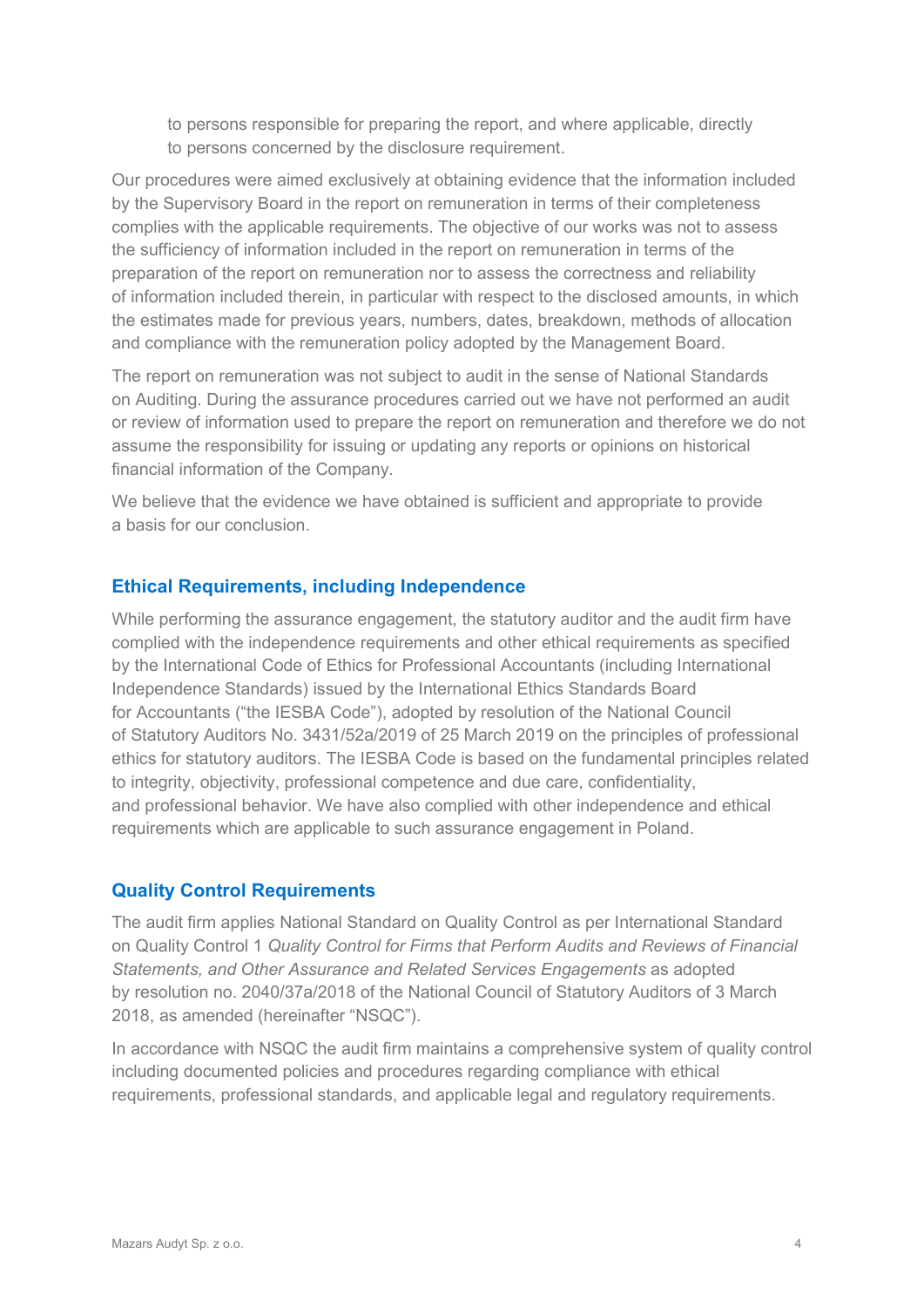to persons responsible for preparing the report, and where applicable, directly to persons concerned by the disclosure requirement.

Our procedures were aimed exclusively at obtaining evidence that the information included by the Supervisory Board in the report on remuneration in terms of their completeness complies with the applicable requirements. The objective of our works was not to assess the sufficiency of information included in the report on remuneration in terms of the preparation of the report on remuneration nor to assess the correctness and reliability of information included therein, in particular with respect to the disclosed amounts, in which the estimates made for previous years, numbers, dates, breakdown, methods of allocation and compliance with the remuneration policy adopted by the Management Board.

The report on remuneration was not subject to audit in the sense of National Standards on Auditing. During the assurance procedures carried out we have not performed an audit or review of information used to prepare the report on remuneration and therefore we do not assume the responsibility for issuing or updating any reports or opinions on historical financial information of the Company.

We believe that the evidence we have obtained is sufficient and appropriate to provide a basis for our conclusion.

#### Ethical Requirements, including Independence

While performing the assurance engagement, the statutory auditor and the audit firm have complied with the independence requirements and other ethical requirements as specified by the International Code of Ethics for Professional Accountants (including International Independence Standards) issued by the International Ethics Standards Board for Accountants ("the IESBA Code"), adopted by resolution of the National Council of Statutory Auditors No. 3431/52a/2019 of 25 March 2019 on the principles of professional ethics for statutory auditors. The IESBA Code is based on the fundamental principles related to integrity, objectivity, professional competence and due care, confidentiality, and professional behavior. We have also complied with other independence and ethical requirements which are applicable to such assurance engagement in Poland.

#### Quality Control Requirements

The audit firm applies National Standard on Quality Control as per International Standard on Quality Control 1 Quality Control for Firms that Perform Audits and Reviews of Financial Statements, and Other Assurance and Related Services Engagements as adopted by resolution no. 2040/37a/2018 of the National Council of Statutory Auditors of 3 March 2018, as amended (hereinafter "NSQC").

In accordance with NSQC the audit firm maintains a comprehensive system of quality control including documented policies and procedures regarding compliance with ethical requirements, professional standards, and applicable legal and regulatory requirements.